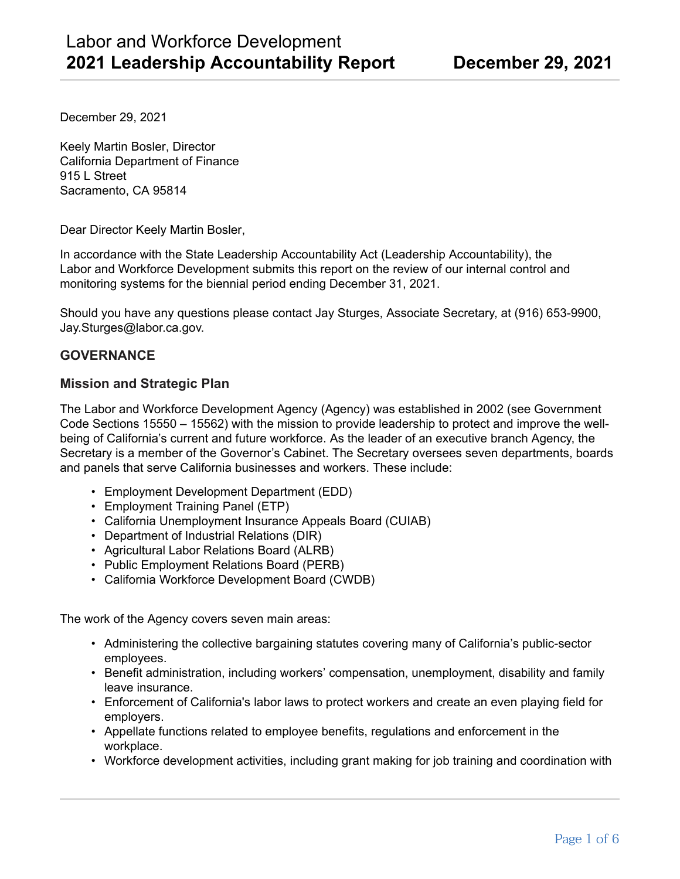December 29, 2021

Keely Martin Bosler, Director California Department of Finance 915 L Street Sacramento, CA 95814

Dear Director Keely Martin Bosler,

In accordance with the State Leadership Accountability Act (Leadership Accountability), the Labor and Workforce Development submits this report on the review of our internal control and monitoring systems for the biennial period ending December 31, 2021.

Should you have any questions please contact Jay Sturges, Associate Secretary, at (916) 653-9900, Jay.Sturges@labor.ca.gov.

### **GOVERNANCE**

#### **Mission and Strategic Plan**

The Labor and Workforce Development Agency (Agency) was established in 2002 (see Government Code Sections 15550 – 15562) with the mission to provide leadership to protect and improve the wellbeing of California's current and future workforce. As the leader of an executive branch Agency, the Secretary is a member of the Governor's Cabinet. The Secretary oversees seven departments, boards and panels that serve California businesses and workers. These include:

- Employment Development Department (EDD)
- Employment Training Panel (ETP)
- California Unemployment Insurance Appeals Board (CUIAB)
- Department of Industrial Relations (DIR)
- Agricultural Labor Relations Board (ALRB)
- Public Employment Relations Board (PERB)
- California Workforce Development Board (CWDB)

The work of the Agency covers seven main areas:

- Administering the collective bargaining statutes covering many of California's public-sector employees.
- Benefit administration, including workers' compensation, unemployment, disability and family leave insurance.
- Enforcement of California's labor laws to protect workers and create an even playing field for employers.
- Appellate functions related to employee benefits, regulations and enforcement in the workplace.
- Workforce development activities, including grant making for job training and coordination with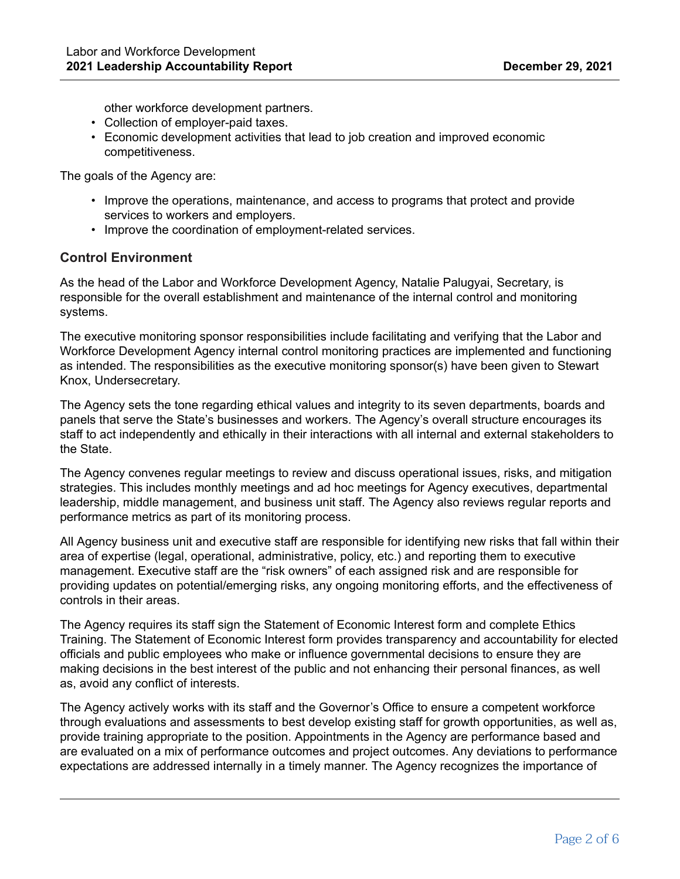other workforce development partners.

- Collection of employer-paid taxes.
- Economic development activities that lead to job creation and improved economic competitiveness.

The goals of the Agency are:

- Improve the operations, maintenance, and access to programs that protect and provide services to workers and employers.
- Improve the coordination of employment-related services.

#### **Control Environment**

As the head of the Labor and Workforce Development Agency, Natalie Palugyai, Secretary, is responsible for the overall establishment and maintenance of the internal control and monitoring systems.

The executive monitoring sponsor responsibilities include facilitating and verifying that the Labor and Workforce Development Agency internal control monitoring practices are implemented and functioning as intended. The responsibilities as the executive monitoring sponsor(s) have been given to Stewart Knox, Undersecretary.

The Agency sets the tone regarding ethical values and integrity to its seven departments, boards and panels that serve the State's businesses and workers. The Agency's overall structure encourages its staff to act independently and ethically in their interactions with all internal and external stakeholders to the State.

The Agency convenes regular meetings to review and discuss operational issues, risks, and mitigation strategies. This includes monthly meetings and ad hoc meetings for Agency executives, departmental leadership, middle management, and business unit staff. The Agency also reviews regular reports and performance metrics as part of its monitoring process.

All Agency business unit and executive staff are responsible for identifying new risks that fall within their area of expertise (legal, operational, administrative, policy, etc.) and reporting them to executive management. Executive staff are the "risk owners" of each assigned risk and are responsible for providing updates on potential/emerging risks, any ongoing monitoring efforts, and the effectiveness of controls in their areas.

The Agency requires its staff sign the Statement of Economic Interest form and complete Ethics Training. The Statement of Economic Interest form provides transparency and accountability for elected officials and public employees who make or influence governmental decisions to ensure they are making decisions in the best interest of the public and not enhancing their personal finances, as well as, avoid any conflict of interests.

The Agency actively works with its staff and the Governor's Office to ensure a competent workforce through evaluations and assessments to best develop existing staff for growth opportunities, as well as, provide training appropriate to the position. Appointments in the Agency are performance based and are evaluated on a mix of performance outcomes and project outcomes. Any deviations to performance expectations are addressed internally in a timely manner. The Agency recognizes the importance of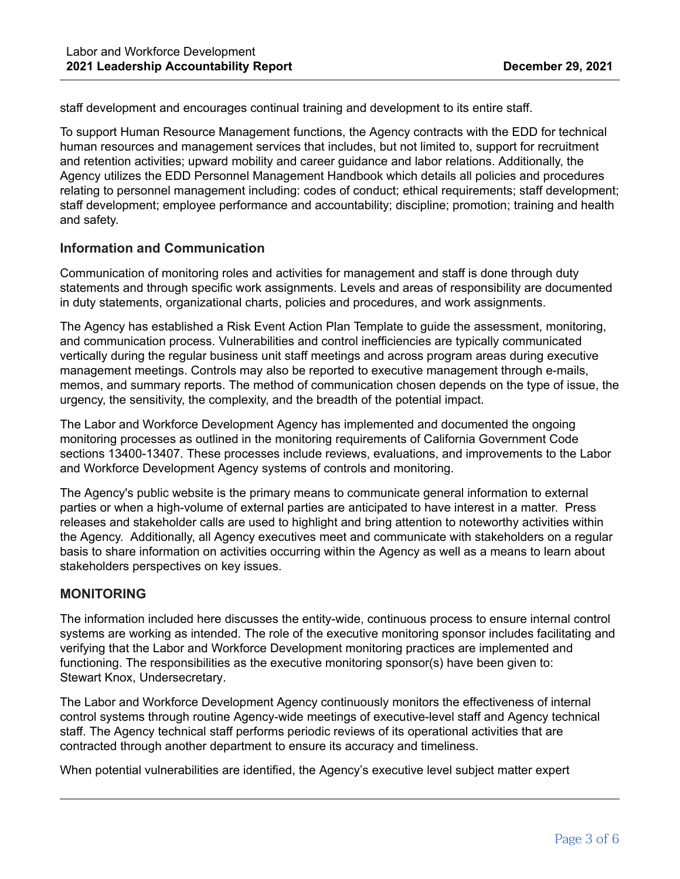staff development and encourages continual training and development to its entire staff.

To support Human Resource Management functions, the Agency contracts with the EDD for technical human resources and management services that includes, but not limited to, support for recruitment and retention activities; upward mobility and career guidance and labor relations. Additionally, the Agency utilizes the EDD Personnel Management Handbook which details all policies and procedures relating to personnel management including: codes of conduct; ethical requirements; staff development; staff development; employee performance and accountability; discipline; promotion; training and health and safety.

#### **Information and Communication**

Communication of monitoring roles and activities for management and staff is done through duty statements and through specific work assignments. Levels and areas of responsibility are documented in duty statements, organizational charts, policies and procedures, and work assignments.

The Agency has established a Risk Event Action Plan Template to guide the assessment, monitoring, and communication process. Vulnerabilities and control inefficiencies are typically communicated vertically during the regular business unit staff meetings and across program areas during executive management meetings. Controls may also be reported to executive management through e-mails, memos, and summary reports. The method of communication chosen depends on the type of issue, the urgency, the sensitivity, the complexity, and the breadth of the potential impact.

The Labor and Workforce Development Agency has implemented and documented the ongoing monitoring processes as outlined in the monitoring requirements of California Government Code sections 13400-13407. These processes include reviews, evaluations, and improvements to the Labor and Workforce Development Agency systems of controls and monitoring.

The Agency's public website is the primary means to communicate general information to external parties or when a high-volume of external parties are anticipated to have interest in a matter. Press releases and stakeholder calls are used to highlight and bring attention to noteworthy activities within the Agency. Additionally, all Agency executives meet and communicate with stakeholders on a regular basis to share information on activities occurring within the Agency as well as a means to learn about stakeholders perspectives on key issues.

#### **MONITORING**

The information included here discusses the entity-wide, continuous process to ensure internal control systems are working as intended. The role of the executive monitoring sponsor includes facilitating and verifying that the Labor and Workforce Development monitoring practices are implemented and functioning. The responsibilities as the executive monitoring sponsor(s) have been given to: Stewart Knox, Undersecretary.

The Labor and Workforce Development Agency continuously monitors the effectiveness of internal control systems through routine Agency-wide meetings of executive-level staff and Agency technical staff. The Agency technical staff performs periodic reviews of its operational activities that are contracted through another department to ensure its accuracy and timeliness.

When potential vulnerabilities are identified, the Agency's executive level subject matter expert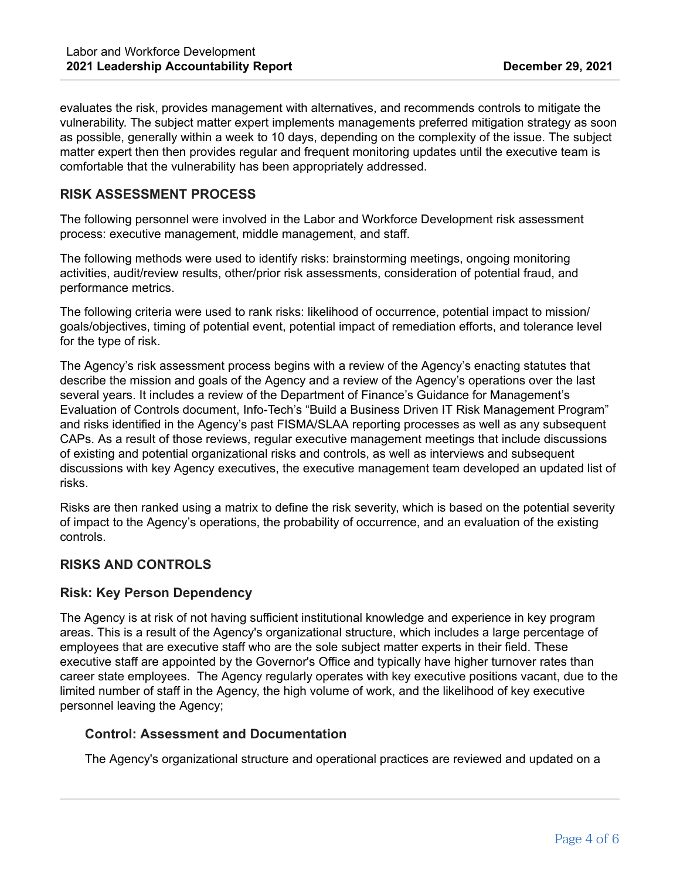evaluates the risk, provides management with alternatives, and recommends controls to mitigate the vulnerability. The subject matter expert implements managements preferred mitigation strategy as soon as possible, generally within a week to 10 days, depending on the complexity of the issue. The subject matter expert then then provides regular and frequent monitoring updates until the executive team is comfortable that the vulnerability has been appropriately addressed.

## **RISK ASSESSMENT PROCESS**

The following personnel were involved in the Labor and Workforce Development risk assessment process: executive management, middle management, and staff.

The following methods were used to identify risks: brainstorming meetings, ongoing monitoring activities, audit/review results, other/prior risk assessments, consideration of potential fraud, and performance metrics.

The following criteria were used to rank risks: likelihood of occurrence, potential impact to mission/ goals/objectives, timing of potential event, potential impact of remediation efforts, and tolerance level for the type of risk.

The Agency's risk assessment process begins with a review of the Agency's enacting statutes that describe the mission and goals of the Agency and a review of the Agency's operations over the last several years. It includes a review of the Department of Finance's Guidance for Management's Evaluation of Controls document, Info-Tech's "Build a Business Driven IT Risk Management Program" and risks identified in the Agency's past FISMA/SLAA reporting processes as well as any subsequent CAPs. As a result of those reviews, regular executive management meetings that include discussions of existing and potential organizational risks and controls, as well as interviews and subsequent discussions with key Agency executives, the executive management team developed an updated list of risks.

Risks are then ranked using a matrix to define the risk severity, which is based on the potential severity of impact to the Agency's operations, the probability of occurrence, and an evaluation of the existing controls.

#### **RISKS AND CONTROLS**

#### **Risk: Key Person Dependency**

The Agency is at risk of not having sufficient institutional knowledge and experience in key program areas. This is a result of the Agency's organizational structure, which includes a large percentage of employees that are executive staff who are the sole subject matter experts in their field. These executive staff are appointed by the Governor's Office and typically have higher turnover rates than career state employees. The Agency regularly operates with key executive positions vacant, due to the limited number of staff in the Agency, the high volume of work, and the likelihood of key executive personnel leaving the Agency;

#### **Control: Assessment and Documentation**

The Agency's organizational structure and operational practices are reviewed and updated on a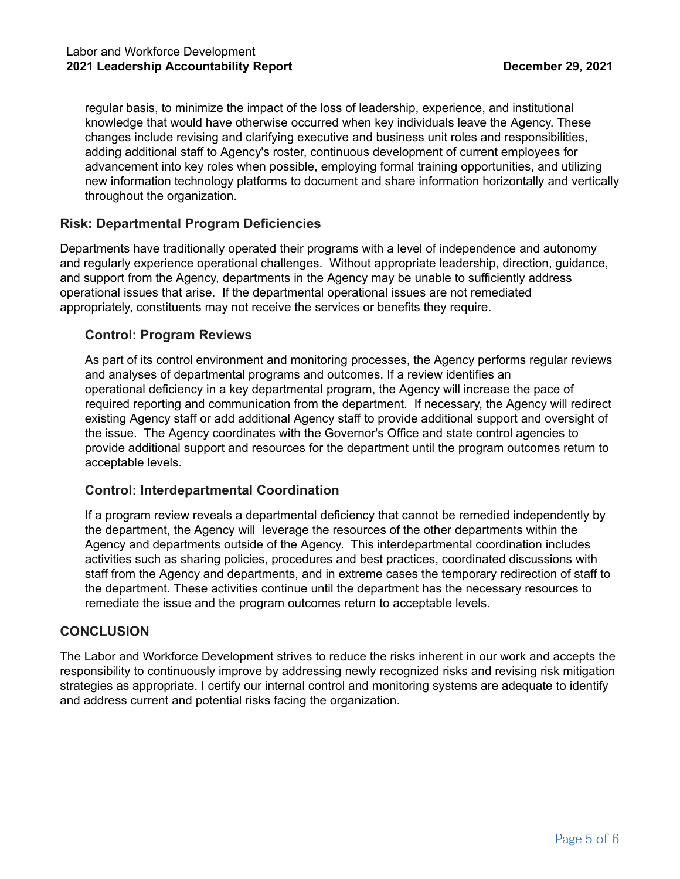regular basis, to minimize the impact of the loss of leadership, experience, and institutional knowledge that would have otherwise occurred when key individuals leave the Agency. These changes include revising and clarifying executive and business unit roles and responsibilities, adding additional staff to Agency's roster, continuous development of current employees for advancement into key roles when possible, employing formal training opportunities, and utilizing new information technology platforms to document and share information horizontally and vertically throughout the organization.

## **Risk: Departmental Program Deficiencies**

Departments have traditionally operated their programs with a level of independence and autonomy and regularly experience operational challenges. Without appropriate leadership, direction, guidance, and support from the Agency, departments in the Agency may be unable to sufficiently address operational issues that arise. If the departmental operational issues are not remediated appropriately, constituents may not receive the services or benefits they require.

#### **Control: Program Reviews**

As part of its control environment and monitoring processes, the Agency performs regular reviews and analyses of departmental programs and outcomes. If a review identifies an operational deficiency in a key departmental program, the Agency will increase the pace of required reporting and communication from the department. If necessary, the Agency will redirect existing Agency staff or add additional Agency staff to provide additional support and oversight of the issue. The Agency coordinates with the Governor's Office and state control agencies to provide additional support and resources for the department until the program outcomes return to acceptable levels.

#### **Control: Interdepartmental Coordination**

If a program review reveals a departmental deficiency that cannot be remedied independently by the department, the Agency will leverage the resources of the other departments within the Agency and departments outside of the Agency. This interdepartmental coordination includes activities such as sharing policies, procedures and best practices, coordinated discussions with staff from the Agency and departments, and in extreme cases the temporary redirection of staff to the department. These activities continue until the department has the necessary resources to remediate the issue and the program outcomes return to acceptable levels.

#### **CONCLUSION**

The Labor and Workforce Development strives to reduce the risks inherent in our work and accepts the responsibility to continuously improve by addressing newly recognized risks and revising risk mitigation strategies as appropriate. I certify our internal control and monitoring systems are adequate to identify and address current and potential risks facing the organization.